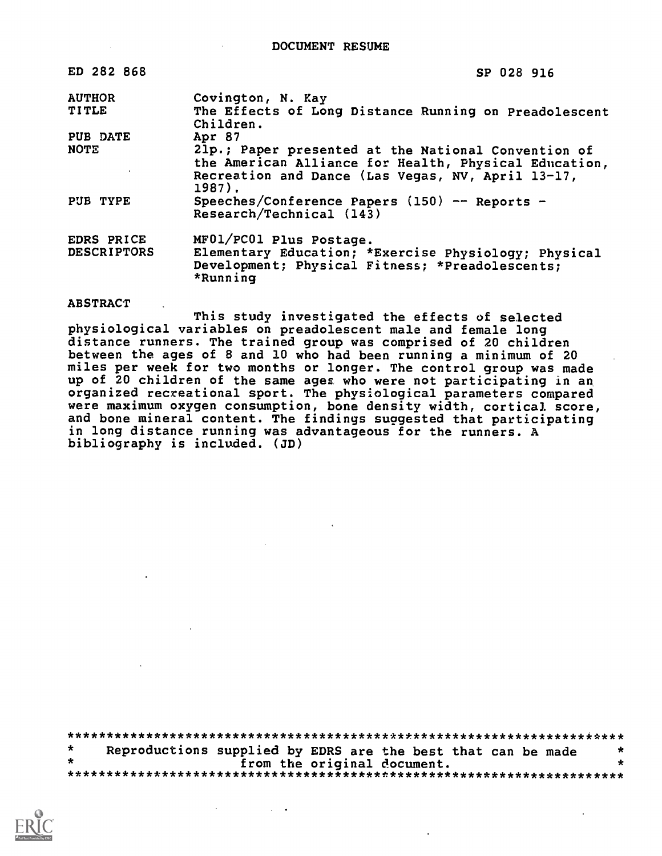| ED 282 868         | SP 028 916                                                                                                                                                                  |
|--------------------|-----------------------------------------------------------------------------------------------------------------------------------------------------------------------------|
| <b>AUTHOR</b>      | Covington, N. Kay                                                                                                                                                           |
| <b>TITLE</b>       | The Effects of Long Distance Running on Preadolescent<br>Children.                                                                                                          |
| PUB DATE           | Apr 87                                                                                                                                                                      |
| <b>NOTE</b>        | 21p.; Paper presented at the National Convention of<br>the American Alliance for Health, Physical Education,<br>Recreation and Dance (Las Vegas, NV, April 13-17,<br>1987). |
| PUB TYPE           | Speeches/Conference Papers $(150)$ -- Reports -<br>Research/Technical (143)                                                                                                 |
| EDRS PRICE         | MF01/PC01 Plus Postage.                                                                                                                                                     |
| <b>DESCRIPTORS</b> | Elementary Education; *Exercise Physiology; Physical<br>Development; Physical Fitness; *Preadolescents;<br>*Running                                                         |

#### **ABSTRACT**

This study investigated the effects of selected physiological variables on preadolescent male and female long distance runners. The trained group was comprised of 20 children between the ages of 8 and 10 who had been running a minimum of 20 miles per week for two months or longer. The control group was made up of 20 children of the same ages who were not participating in an organized recreational sport. The physiological parameters compared were maximum oxygen consumption, bone density width, cortical score, and bone mineral content. The findings suggested that participating in long distance running was advantageous for the runners. A bibliography is included. (JD)

|  |                             | Reproductions supplied by EDRS are the best that can be made | $\star$ |
|--|-----------------------------|--------------------------------------------------------------|---------|
|  | from the original document. |                                                              |         |
|  |                             |                                                              |         |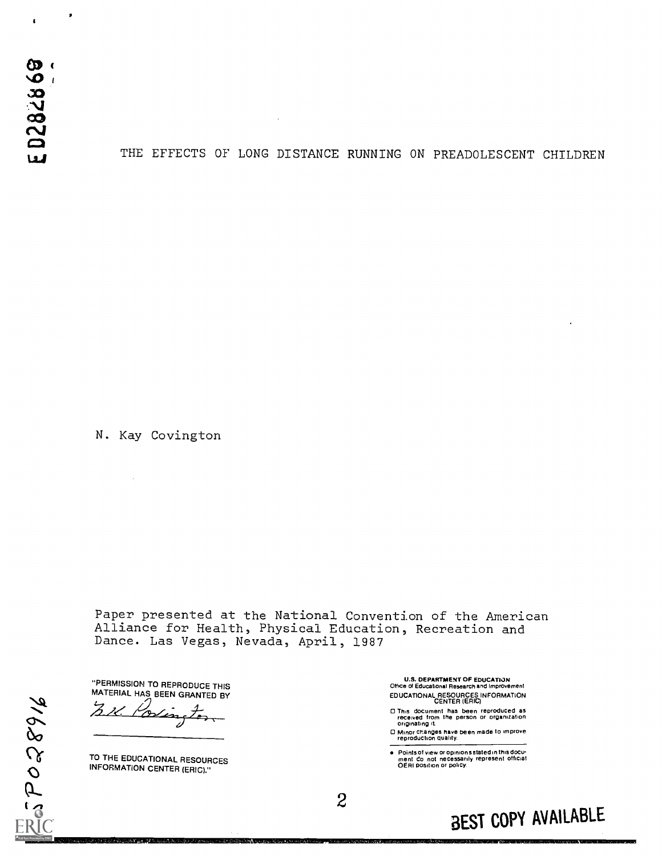$\overline{\mathbf{r}}$ 

×

#### THE EFFECTS OF LONG DISTANCE RUNNING ON PREADOLESCENT CHILDREN

N. Kay Covington

 $\hat{\phi}$ 

Paper presented at the National Convention of the American Alliance for Health, Physical Education, Recreation and Dance. Las Vegas, Nevada, April, 1987

"PERMISSION TO REPRODUCE THIS MATERIAL HAS BEEN GRANTED BY ∞

TO THE EDUCATIONAL RESOURCES INFORMATION CENTER (ERIC)."

91685055

U.S. DEPARTMENT OF EDUCATION Office of Education& Research and Improvement EDUCATIONAL RESOURCES INFORMATION CENTER (ERIC)

- 0 This document has been reproduced as received from the person or organization originating it
- 0 Minor Changes have been made to improve reproduction quality.

Points of view or opinions stated in this docu<del>:</del><br>ment: Co: not: necessarily: represent: official<br>OERI position or policy.

2

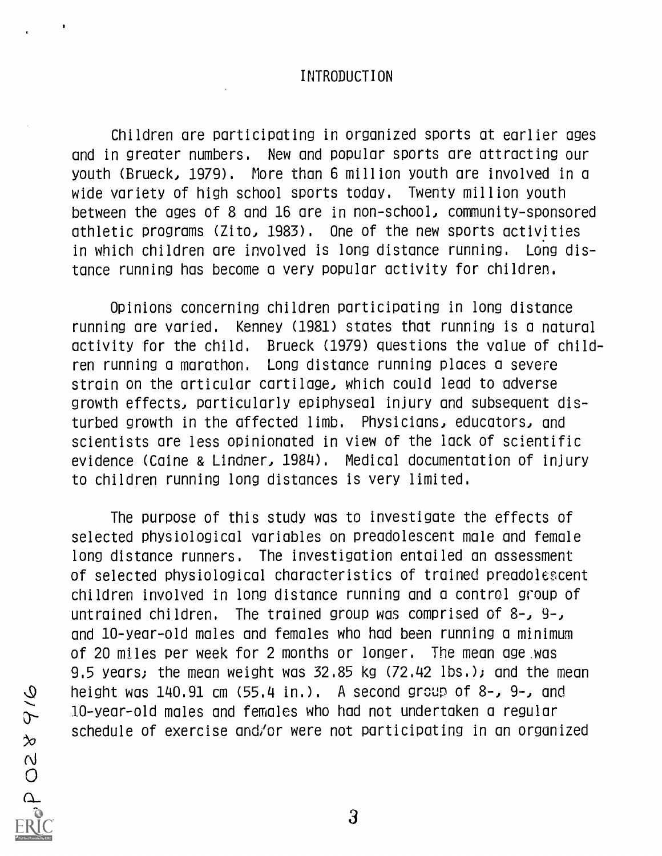#### INTRODUCTION

Children are participating in organized sports at earlier ages and in greater numbers. New and popular sports are attracting our youth (Brueck, 1979). More than 6 million youth are involved in a wide variety of high school sports today. Twenty million youth between the ages of 8 and 16 are in non-school, community-sponsored athletic programs (Zito, 1983). One of the new sports activities in which children are involved is long distance running. Long distance running has become a very popular activity for children.

Opinions concerning children participating in long distance running are varied. Kenney (1981) states that running is a natural activity for the child. Brueck (1979) questions the value of children running a marathon. Long distance running places a severe strain on the articular cartilage, which could lead to adverse growth effects, particularly epiphyseal injury and subsequent disturbed growth in the affected limb. Physicians, educators, and scientists are less opinionated in view of the lack of scientific evidence (Caine & Lindner, 1984). Medical documentation of injury to children running long distances is very limited.

The purpose of this study was to investigate the effects of selected physiological variables on preadolescent male and female long distance runners. The investigation entailed an assessment of selected physiological characteristics of trained preadolezcent children involved in long distance running and a control group of untrained children. The trained group was comprised of 8-, 9-, and 10-year-old males and females who had been running a minimum of 20 miles per week for 2 months or longer. The mean age.was 9.5 years; the mean weight was 32.85 kg (72.42 lbs.); and the mean height was 140.91 cm (55.4 in.). A second group of 8-, 9-, and 10-year-old males and females who had not undertaken a regular schedule of exercise and/or were not participating in an organized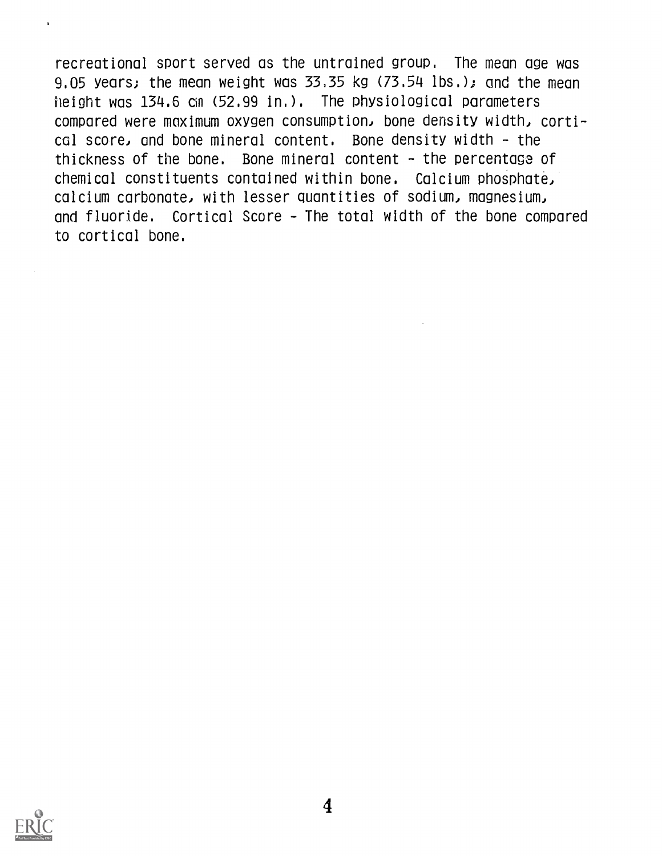recreational sport served as the untrained group. The mean age was 9.05 years; the mean weight was  $33,35$  kg  $(73,54$  lbs.); and the mean height was 134.6 cm (52.99 in.). The physiological parameters compared were maximum oxygen consumption, bone density width, cortical score, and bone mineral content. Bone density width - the thickness of the bone. Bone mineral content - the percentage of chemical constituents contained within bone. Calcium phosphate, calcium carbonate, with lesser quantities of sodium, magnesium, and fluoride. Cortical Score - The total width of the bone compared to cortical bone.

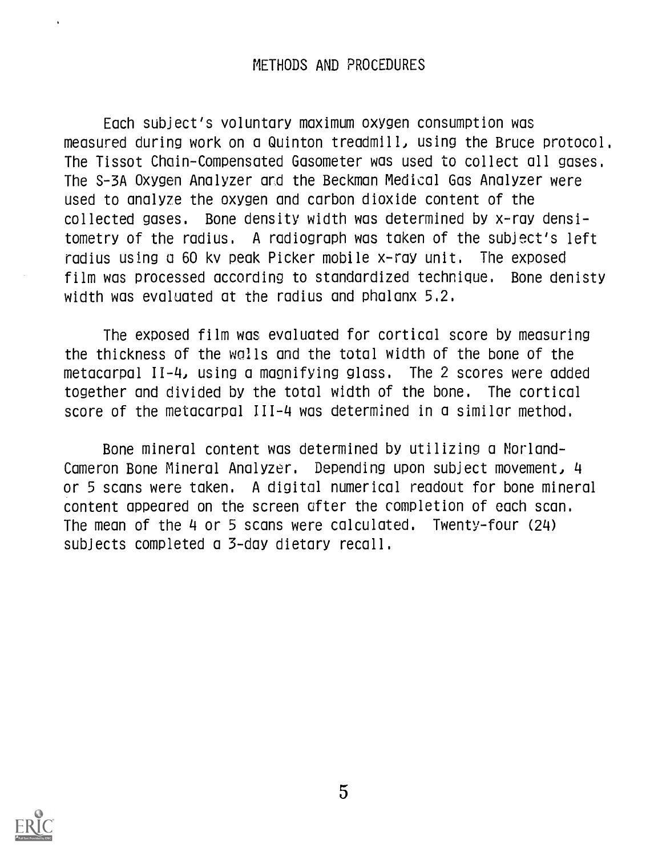### METHODS AND PROCEDURES

Each subject's voluntary maximum oxygen consumption was measured during work on a Quinton treadmill, using the Bruce protocol. The Tissot Chain-Compensated Gasometer was used to collect all gases. The S-3A Oxygen Analyzer ard the Beckman Medical Gas Analyzer were used to analyze the oxygen and carbon dioxide content of the collected gases. Bone density width was determined by x-ray densitometry of the radius. A radiograph was taken of the subject's left radius using a 60 kv peak Picker mobile x-ray unit. The exposed film was processed according to standardized technique. Bone denisty width was evaluated at the radius and phalanx 5,2.

The exposed film was evaluated for cortical score by measuring the thickness of the wolls and the total width of the bone of the metacarpal 11-4, using a magnifying glass. The 2 scores were added together and divided by the total width of the bone. The cortical score of the metacarpal 111-4 was determined in a similar method.

Bone mineral content was determined by utilizing a Norland-Cameron Bone Mineral Analyzer. Depending upon subject movement, 4 or 5 scans were taken. A digital numerical readout for bone mineral content appeared on the screen after the completion of each scan. The mean of the 4 or 5 scans were calculated. Twenty-four (24) subjects completed a 3-day dietary recall.

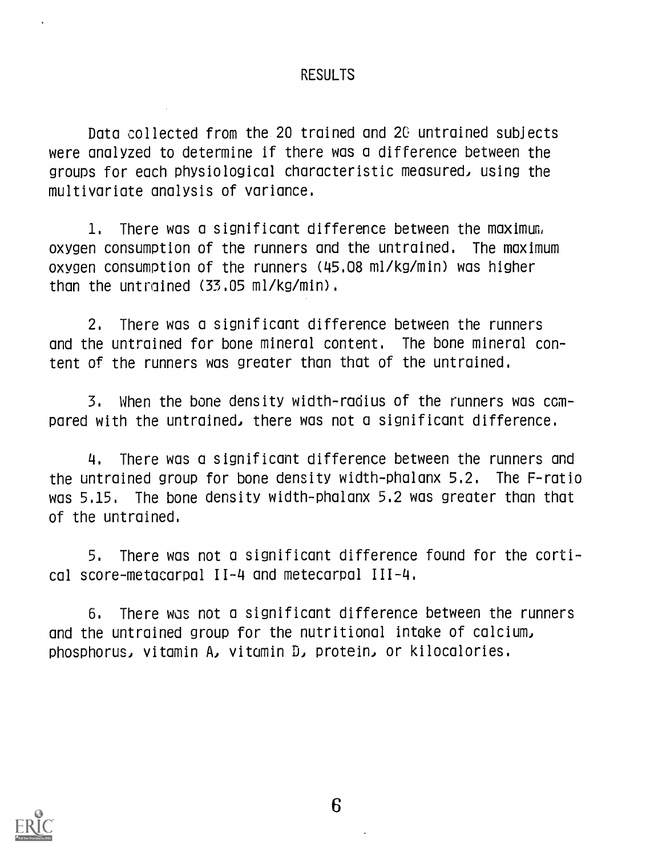### RESULTS

Data collected from the 20 trained and 2G untrained subjects were analyzed to determine if there was a difference between the groups for each physiological characteristic measured) using the multivariate analysis of variance.

1. There was a significant difference between the maximum oxygen consumption of the runners and the untrained. The maximum oxygen consumption of the runners (45.08 ml/kg/min) was higher than the untrained (33.05 ml/kg/min).

2. There was a significant difference between the runners and the untrained for bone mineral content. The bone mineral content of the runners was greater than that of the untrained.

3. When the bone density width-radius of the runners was compared with the untrained, there was not a significant difference.

4. There was a significant difference between the runners and the untrained group for bone density width-phalanx 5.2. The F-ratio was 5.15. The bone density width-phalanx 5.2 was greater than that of the untrained.

5. There was not a significant difference found for the cortical score-metacarpal 11-4 and metecarpal 111-4.

6. There was not a significant difference between the runners and the untrained group for the nutritional intake of calcium) Phosphorus) vitamin AJ vitamin DJ protein, or kilocalories.

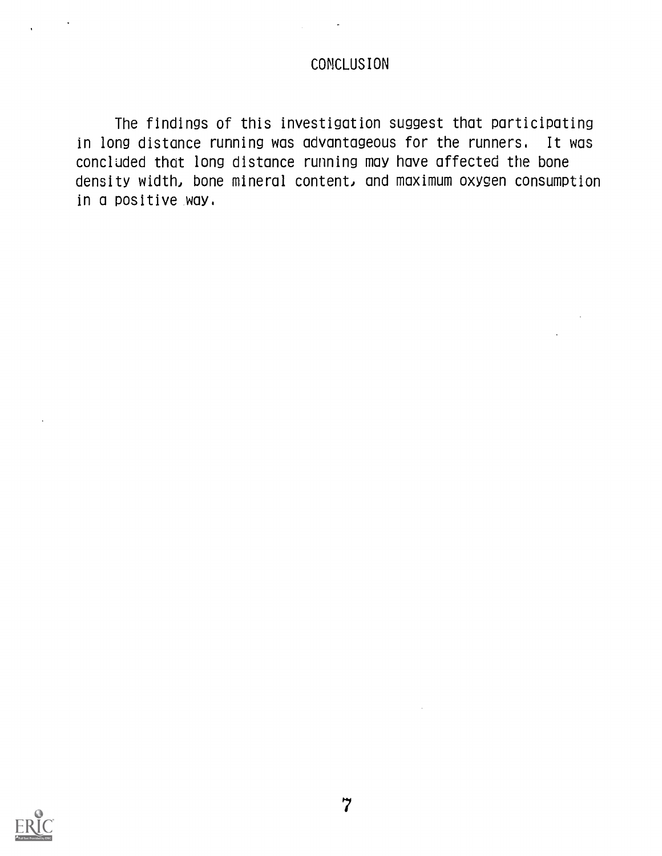### CONCLUSION

The findings of this investigation suggest that participating in long distance running was advantageous for the runners. It was concluded that long distance running may have affected the bone density width, bone mineral content, and maximum oxygen consumption in a positive way.

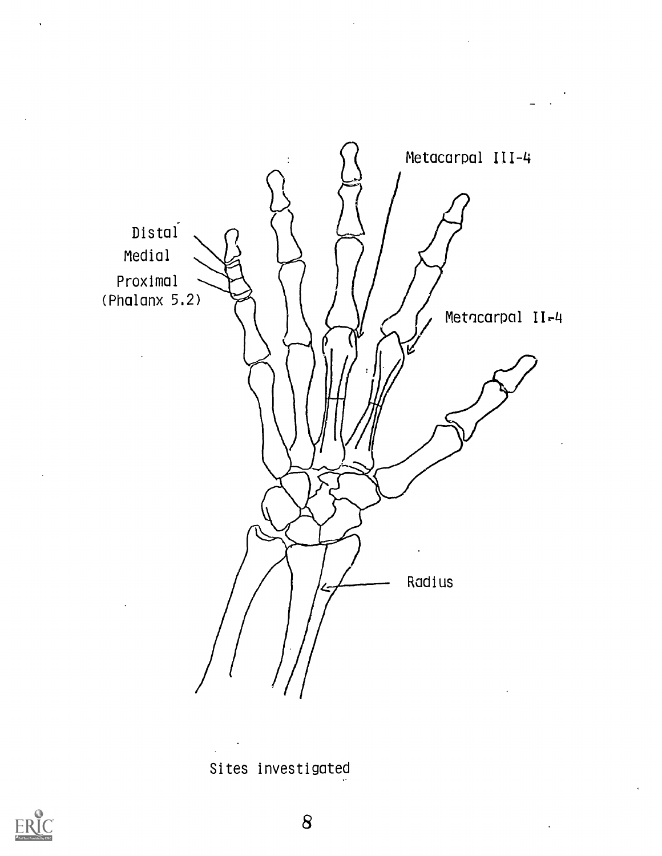

Sites investigated

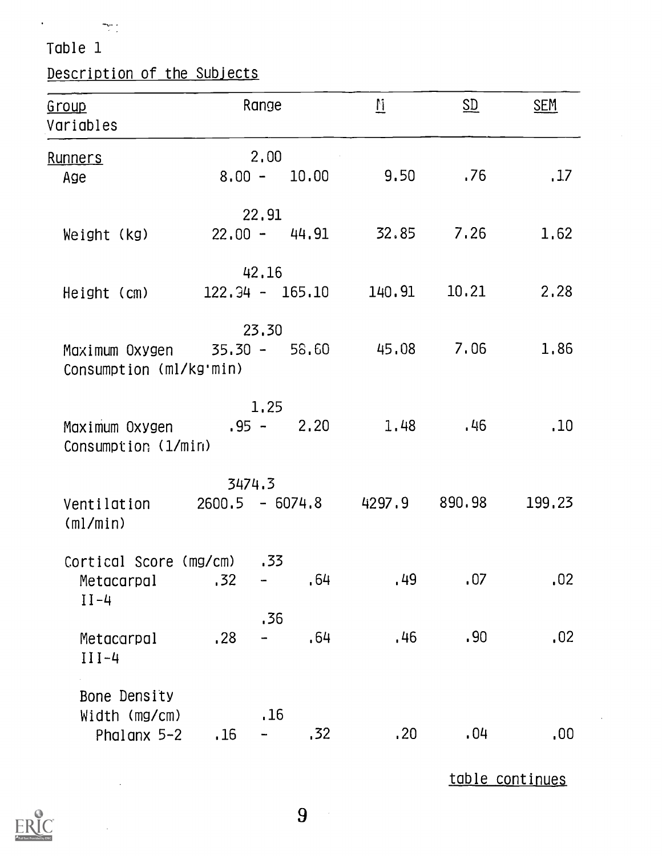## Description of the Subjects

| <u>Group</u><br>Variables                                     |     | Range  |                | $\overline{\mathbf{u}}$    | $\underline{\text{SD}}$ | <b>SEM</b> |
|---------------------------------------------------------------|-----|--------|----------------|----------------------------|-------------------------|------------|
| Runners<br>Age                                                |     | 2,00   | $8.00 - 10.00$ | 9.50 .76                   |                         | .17        |
| Weight (kg)                                                   |     | 22,91  |                | $22.00 - 44.91$ $32.85$    | 7.26                    | 1,62       |
| Height (cm)                                                   |     | 42.16  |                | $122.34 - 165.10$ $140.91$ | 10.21                   | 2,28       |
| Maximum Oxygen 35.30 - 58.60 45.08<br>Consumption (ml/kg'min) |     | 23,30  |                |                            | 7.06                    | 1,86       |
| Maximum Oxygen $.95 - 2.20$<br>Consumption (1/min)            |     | 1.25   |                | 1.48                       | .46                     | .10        |
| Ventilation $2600.5 - 6074.8$ 4297.9 890.98<br>(ml/min)       |     | 3474.3 |                |                            |                         | 199.23     |
| Cortical Score (mg/cm)<br>Metacarpal<br>$II-4$                | .32 | .33    | .64            | .49                        | .07                     | .02        |
| Metacarpal<br>$III -4$                                        | .28 | .36    | .64            | .46                        | .90                     | .02        |
| Bone Density<br>Width (mg/cm)<br>Phalanx $5-2$                | .16 | .16    | , 32           | .20                        | .04                     | .00        |

table continues

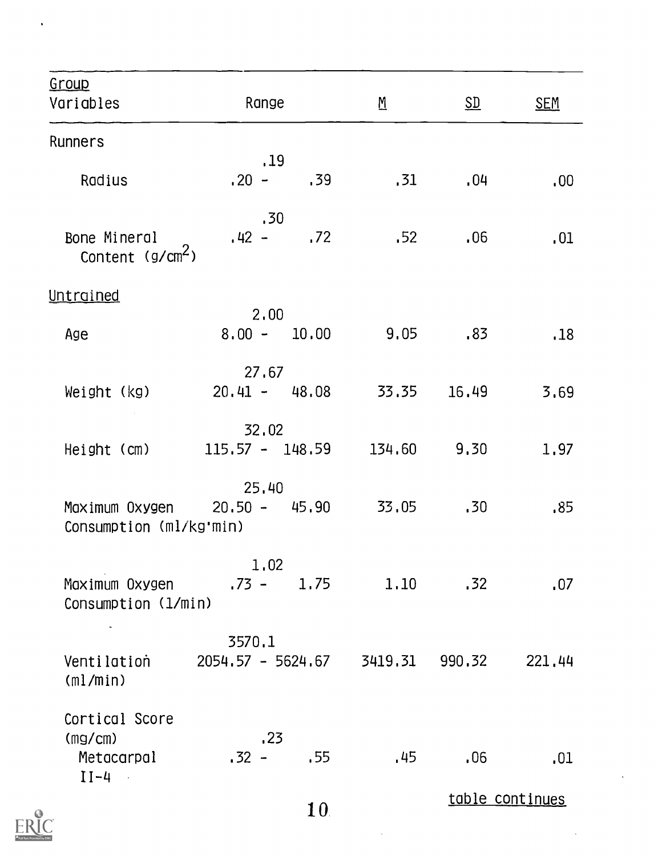| Group<br>Variables                                | Range                                |                 | $\underline{M}$ | SD     | <b>SEM</b>      |
|---------------------------------------------------|--------------------------------------|-----------------|-----------------|--------|-----------------|
| Runners                                           |                                      |                 |                 |        |                 |
| Radius                                            | .19<br>$.20 - .39$                   |                 | .31             | .04    | .00.            |
| Bone Mineral<br>Content $(g/cm2)$                 | .30<br>$.42 - .72$                   |                 | .52             | .06    | .01             |
| Untrained                                         |                                      |                 |                 |        |                 |
| Age                                               | 2.00<br>$8.00 - 10.00$               |                 | $9,05$ , 83     |        | .18             |
| Weight (kg)                                       | 27.67<br>$20.41 - 48.08$ 33.35 16.49 |                 |                 |        | 3.69            |
| Height (cm)                                       | 32,02<br>$115.57 - 148.59$           |                 | 134.60 9.30     |        | 1,97            |
| Consumption (ml/kg'min)                           | 25,40                                |                 |                 | .30    | .85             |
| Maximum Oxygen<br>Consumption (1/min)             | 1.02<br>.73 – 1.75                   |                 | 1.10            | .32    | .07             |
| Ventilation<br>(ml/min)                           | 3570.1<br>2054.57 - 5624.67          |                 | 3419.31         | 990.32 | 221,44          |
| Cortical Score<br>(mg/cm)<br>Metacarpal<br>$II-4$ | .23<br>$.32 -$                       | .55             | .45             | .06    | .01             |
|                                                   |                                      | 10 <sub>1</sub> |                 |        | table continues |

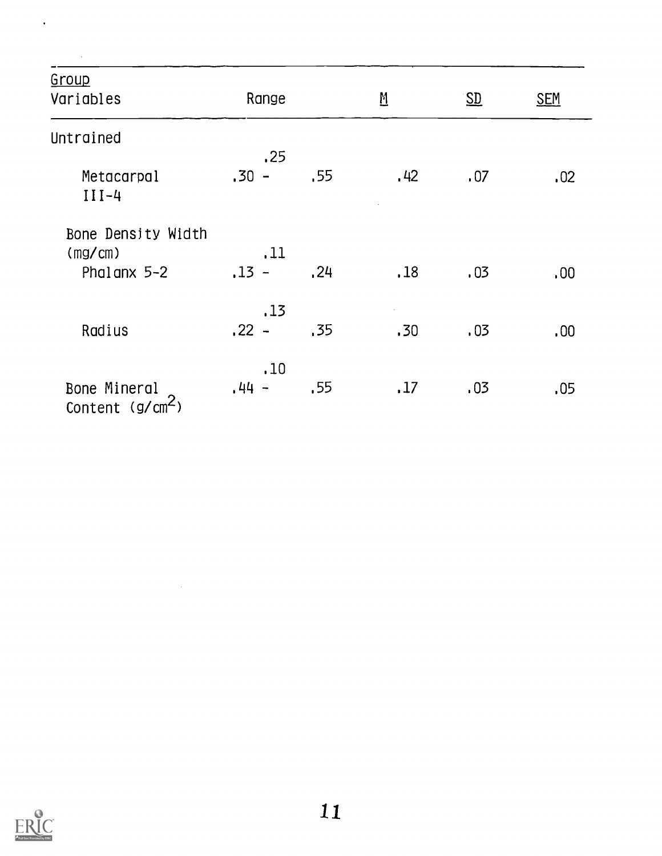| Group<br>Variables                           | Range          |      | $\underline{M}$ | $S_{\underline{D}}$ | <b>SEM</b> |
|----------------------------------------------|----------------|------|-----------------|---------------------|------------|
| Untrained                                    |                |      |                 |                     |            |
| Metacarpal<br>$III-4$                        | .25<br>$.30 -$ | .55  | .42             | .07                 | .02        |
| Bone Density Width<br>(mg/cm)<br>Phalanx 5-2 | .11<br>$,13 -$ | , 24 | .18             | .03                 | .00.       |
| Radius                                       | .13<br>$.22 -$ | .35  | .30             | .03                 | .00.       |
| Bone Mineral<br>Content (g/cm <sup>2</sup> ) | .10<br>$.44 -$ | .55  | .17             | .03                 | .05        |



 $\label{eq:2.1} \frac{1}{\sqrt{2}}\int_{0}^{\pi} \frac{1}{\sqrt{2\pi}}\left(\frac{1}{\sqrt{2\pi}}\right)^{2} \frac{1}{\sqrt{2\pi}}\int_{0}^{\pi}\frac{1}{\sqrt{2\pi}}\left(\frac{1}{\sqrt{2\pi}}\right)^{2} \frac{1}{\sqrt{2\pi}}\int_{0}^{\pi}\frac{1}{\sqrt{2\pi}}\frac{1}{\sqrt{2\pi}}\frac{1}{\sqrt{2\pi}}\frac{1}{\sqrt{2\pi}}\frac{1}{\sqrt{2\pi}}\frac{1}{\sqrt{2\pi}}\frac{1}{\sqrt{2\pi}}\frac{1$ 

 $\ddot{\phantom{a}}$ 

 $\hat{\mathcal{A}}$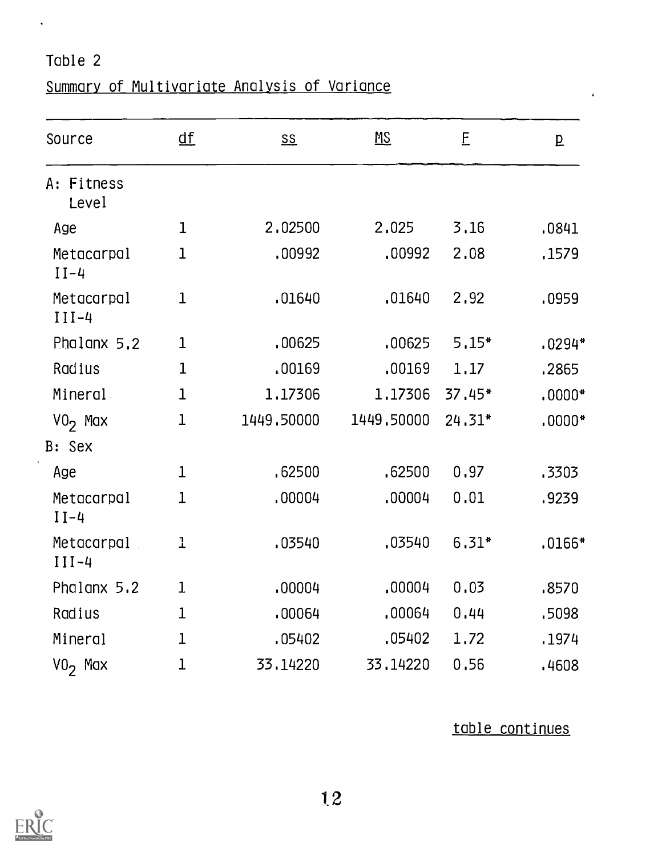$\hat{\mathbf{v}}$ 

## Summary of Multivariate Analysis of Variance

| Source                | $\underline{\mathsf{df}}$ | $\underline{\mathsf{SS}}$ | MSE        | E       | $\overline{p}$ |
|-----------------------|---------------------------|---------------------------|------------|---------|----------------|
| A: Fitness<br>Level   |                           |                           |            |         |                |
| Age                   | $\mathbf{1}$              | 2,02500                   | 2,025      | 3,16    | .0841          |
| Metacarpal<br>$II-4$  | $\mathbf 1$               | .00992                    | ,00992     | 2,08    | .1579          |
| Metacarpal<br>$III-4$ | $\mathbf 1$               | .01640                    | .01640     | 2.92    | .0959          |
| Phalanx 5.2           | 1                         | .00625                    | .00625     | $5.15*$ | $.0294*$       |
| Radius                | $\mathbf 1$               | .00169                    | .00169     | 1.17    | .2865          |
| Mineral               | $\mathbf{1}$              | 1.17306                   | 1,17306    | 37.45*  | $.0000*$       |
| $V02$ Max             | $\mathbf 1$               | 1449.50000                | 1449,50000 | 24.31*  | $.0000*$       |
| B: Sex                |                           |                           |            |         |                |
| Age                   | $\mathbf{1}$              | .62500                    | .62500     | 0.97    | .3303          |
| Metacarpal<br>$II-4$  | 1                         | .00004                    | ,00004     | 0.01    | .9239          |
| Metacarpal<br>$III-4$ | 1                         | .03540                    | .03540     | $6.31*$ | $.0166*$       |
| Phalanx 5.2           | 1                         | .00004                    | ,00004     | 0.03    | .8570          |
| Radius                | 1                         | .00064                    | .00064     | 0.44    | .5098          |
| Mineral               | 1                         | .05402                    | .05402     | 1,72    | .1974          |
| $VO2$ Max             | 1                         | 33,14220                  | 33,14220   | 0.56    | .4608          |

table continues

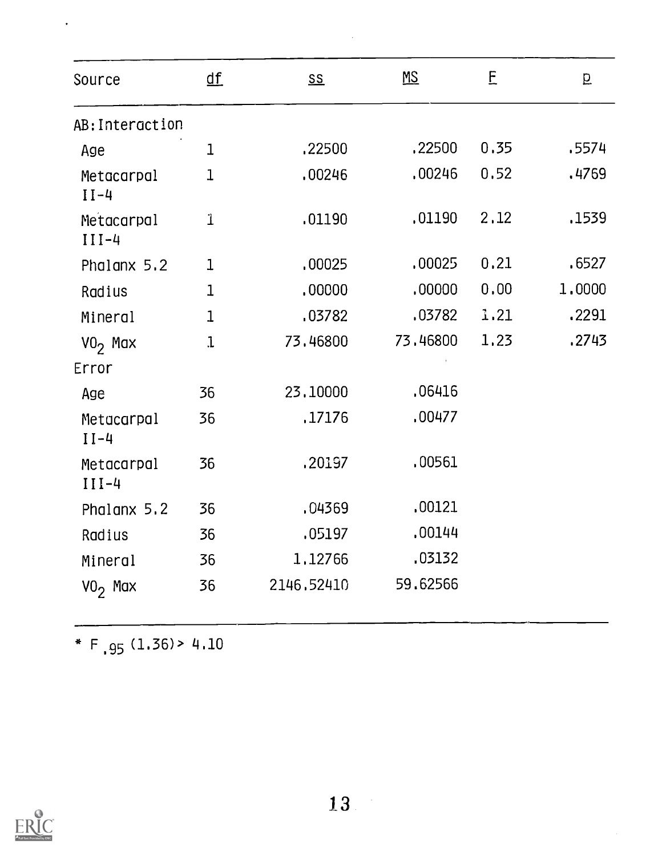| Source                | $\underline{\text{df}}$ | $S_{\text{S}}$ | MS       | E    | p      |
|-----------------------|-------------------------|----------------|----------|------|--------|
| AB: Interaction       |                         |                |          |      |        |
| Age                   | $\mathbf{1}$            | .22500         | .22500   | 0.35 | .5574  |
| Metacarpal<br>$II-4$  | $\mathbf{1}$            | .00246         | .00246   | 0.52 | .4769  |
| Metacarpal<br>$III-4$ | $\mathbf 1$             | .01190         | ,01190   | 2.12 | .1539  |
| Phalanx 5.2           | 1                       | .00025         | .00025   | 0.21 | .6527  |
| Radius                | $\mathbf 1$             | ,00000         | ,00000   | 0.00 | 1,0000 |
| Mineral               | $\mathbf{1}$            | .03782         | .03782   | 1.21 | .2291  |
| $VO2$ Max             | $\mathbf{1}$            | 73.46800       | 73.46800 | 1.23 | .2743  |
| Error                 |                         |                |          |      |        |
| Age                   | 36                      | 23,10000       | .06416   |      |        |
| Metacarpal<br>$II-4$  | 36                      | .17176         | .00477   |      |        |
| Metacarpal<br>$III-4$ | 36                      | .20197         | .00561   |      |        |
| Phalanx 5.2           | 36                      | .04369         | .00121   |      |        |
| Radius                | 36                      | .05197         | .00144   |      |        |
| Mineral               | 36                      | 1,12766        | .03132   |      |        |
| $VO2$ Max             | 36                      | 2146.52410     | 59.62566 |      |        |

 $\hat{\mathcal{A}}$ 

\* F  $.95$  (1.36) > 4.10

 $\ddot{\phantom{0}}$ 

 $\sim$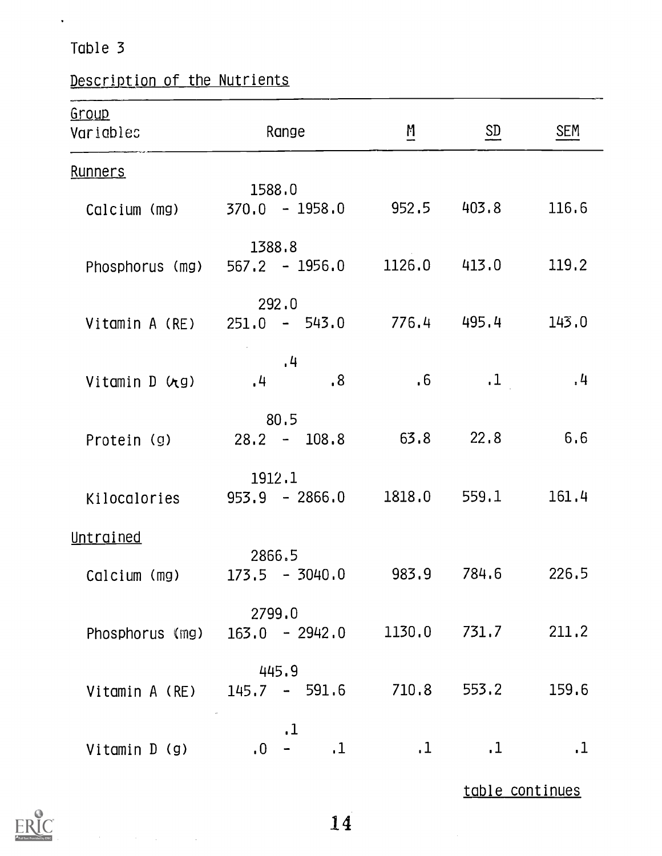$\mathbf{v}^{(i)}$ 

# Description of the Nutrients

| Group<br>Variables | Range                                            | $\mathbf{M}$    | SD                 | <b>SEM</b>  |
|--------------------|--------------------------------------------------|-----------------|--------------------|-------------|
| <b>Runners</b>     |                                                  |                 |                    |             |
| Calcium (mg)       | 1588.0                                           |                 |                    |             |
| Phosphorus (mg)    | 1388.8<br>$567.2 - 1956.0$                       |                 | 1126.0 413.0 119.2 |             |
| Vitamin A (RE)     | 292.0<br>$251.0 - 543.0$ $776.4$ $495.4$ $143.0$ |                 |                    |             |
| Vitamin D (rg)     | , 4<br>8 <sub>1</sub><br>, 4                     | .6 <sub>5</sub> | $\cdot$ 1          | $\cdot$ 4   |
| Protein (g)        | 80.5<br>$28.2 - 108.8$ 63.8                      |                 | 22.8               | 6.6         |
| Kilocalories       | 1912.1<br>$953.9 - 2866.0$                       | 1818.0          |                    | 559.1 161.4 |
| Untrained          |                                                  |                 |                    |             |
| Calcium (mg)       | 2866.5<br>$173.5 - 3040.0$                       | 983.9           | 784.6              | 226.5       |
| Phosphorus (mg)    | 2799.0<br>$163.0 - 2942.0$                       | 1130.0          | 731.7              | 211.2       |
| Vitamin A (RE)     | 445.9<br>$145.7 - 591.6$                         | 710.8           | 553.2              | 159.6       |
| Vitamin D (g)      | $\cdot$ 1<br>$\cdot$ 1<br>$\overline{0}$         | $\cdot$ 1       | $\cdot$ 1          | $\cdot$ 1   |
|                    |                                                  |                 | table continues    |             |



 $\label{eq:2} \mathcal{L}(\mathcal{H}) = \mathcal{L}(\mathcal{H}) \left( \mathcal{L}(\mathcal{H}) \right) \left( \mathcal{H}(\mathcal{H}) \right)$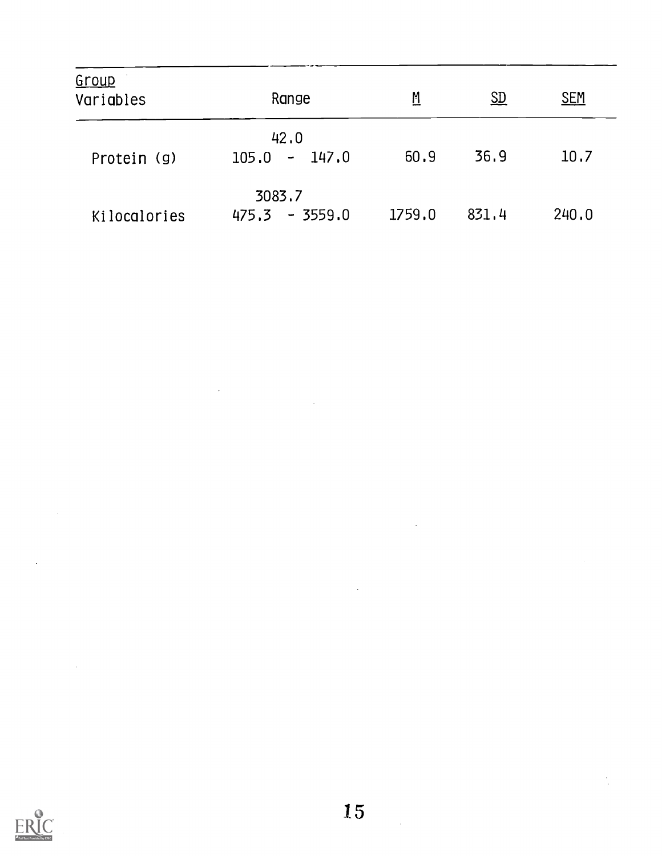| Group<br>Variables | Range                      | <u>M</u> | $\underline{\mathrm{SD}}$ | <b>SEM</b> |
|--------------------|----------------------------|----------|---------------------------|------------|
| Protein (g)        | 42.0<br>$105.0 - 147.0$    | 60.9     | 36.9                      | 10.7       |
| Kilocalories       | 3083.7<br>$475.3 - 3559.0$ | 1759.0   | 831.4                     | 240.0      |

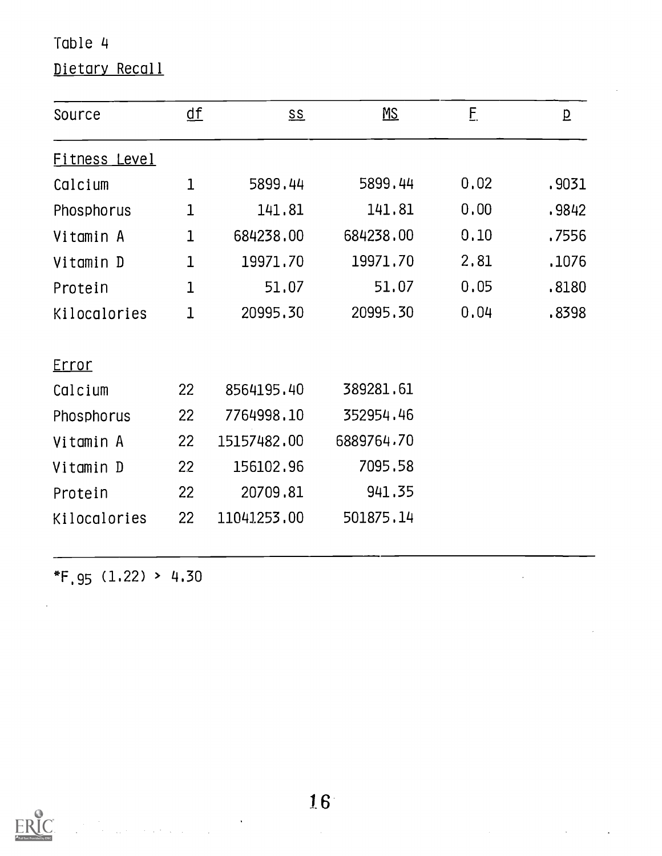# Dietary Recall

| Source        | <u>df</u>    | $\underline{\mathsf{SS}}$ | $\underline{\mathsf{MS}}$ | E    | $\underline{\mathtt{p}}$ |
|---------------|--------------|---------------------------|---------------------------|------|--------------------------|
| Fitness Level |              |                           |                           |      |                          |
| Calcium       | $\mathbf{1}$ | 5899.44                   | 5899.44                   | 0.02 | .9031                    |
| Phosphorus    | 1            | 141.81                    | 141.81                    | 0.00 | .9842                    |
| Vitamin A     | $\mathbf 1$  | 684238,00                 | 684238.00                 | 0.10 | .7556                    |
| Vitamin D     | 1            | 19971.70                  | 19971.70                  | 2,81 | .1076                    |
| Protein       | 1            | 51,07                     | 51.07                     | 0.05 | .8180                    |
| Kilocalories  | $\mathbf{1}$ | 20995.30                  | 20995.30                  | 0.04 | .8398                    |
| <u>Error</u>  |              |                           |                           |      |                          |
| Calcium       | 22           | 8564195.40                | 389281.61                 |      |                          |
| Phosphorus    | 22           | 7764998.10                | 352954.46                 |      |                          |
| Vitamin A     | 22           | 15157482.00               | 6889764.70                |      |                          |
| Vitamin D     | 22           | 156102.96                 | 7095.58                   |      |                          |
| Protein       | 22           | 20709.81                  | 941.35                    |      |                          |
| Kilocalories  | 22           | 11041253.00               | 501875.14                 |      |                          |

 $*F.95 (1.22) > 4.30$ 



 $\ddot{\phantom{0}}$  $\label{eq:2.1} \frac{1}{\sqrt{2\pi}}\frac{1}{\sqrt{2\pi}}\frac{1}{\sqrt{2\pi}}\frac{1}{\sqrt{2\pi}}\frac{1}{\sqrt{2\pi}}\frac{1}{\sqrt{2\pi}}\frac{1}{\sqrt{2\pi}}\frac{1}{\sqrt{2\pi}}\frac{1}{\sqrt{2\pi}}\frac{1}{\sqrt{2\pi}}\frac{1}{\sqrt{2\pi}}\frac{1}{\sqrt{2\pi}}\frac{1}{\sqrt{2\pi}}\frac{1}{\sqrt{2\pi}}\frac{1}{\sqrt{2\pi}}\frac{1}{\sqrt{2\pi}}\frac{1}{\sqrt{2\pi}}\frac{1}{\sqrt$ 

 $\overline{\phantom{a}}$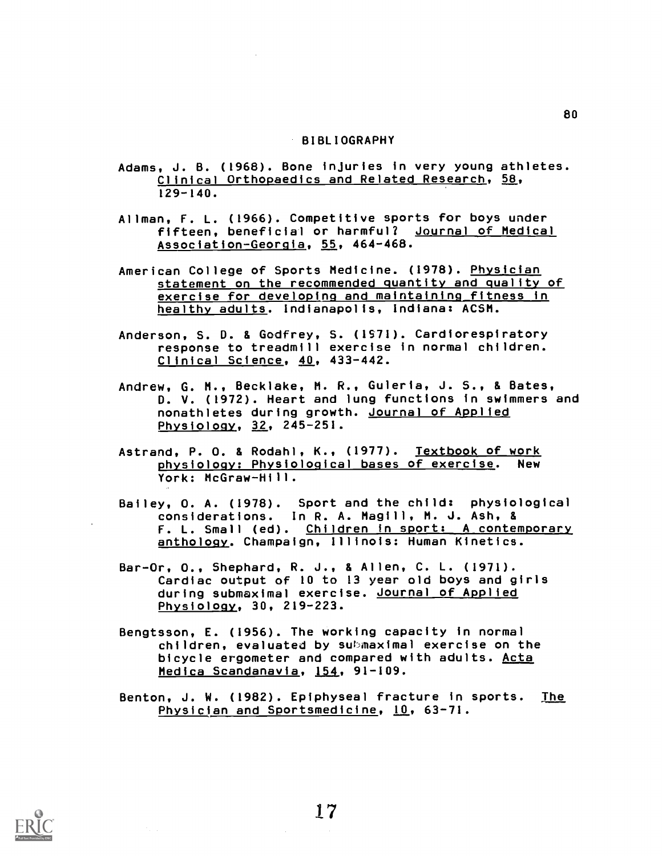#### BIBLIOGRAPHY

- Adams, J. B. (1968). Bone injuries in very young athletes. Clinical Orthopaedics and Related Research, 58, 129-140.
- Allman, F. L. (1966). Competitive sports for boys under fifteen, beneficial or harmful? Journal of Medical Association-Georgia, 55, 464-468.
- American College of Sports Medicine. (1978). Physician statement on the recommended quantity and quality of exercise for developing and maintaining fitness in healthy adults. Indianapolis, Indiana: ACSM.
- Anderson, S. D. & Godfrey, S. (1571). Cardiorespiratory response to treadmill exercise in normal children. Clinical Science, 40, 433-442.
- Andrew, G. M., Becklake, M. R., Guleria, J. S., & Bates, D. V. (1972). Heart and lung functions in swimmers and nonathletes during growth. Journal of Applied Physiology, 32, 245-251.
- Astrand, P. O. & Rodahl, K., (1977). Textbook of work physiology: Physiological bases of exercise. New York: McGraw-Hill.
- Bailey, O. A. (1978). Sport and the child: physiological considerations. In R. A. Magill, M. J. Ash, & F. L. Small (ed). Children in sport: A contemporary anthology. Champaign, Illinois: Human Kinetics.
- Bar-Or, O., Shephard, R. J., & Allen, C. L. (1971). Cardiac output of 10 to 13 year old boys and girls during submaximal exercise. Journal of Applied Physiology, 30, 219-223.
- Bengtsson, E. (1956). The working capacity in normal children, evaluated by submaximal exercise on the bicycle ergometer and compared with adults. Acta Medica Scandanavia, 154, 91-109.
- Benton, J. W. (1982). Epiphyseal fracture in sports. <u>The</u> Physician and Sportsmedicine, 10, 63-71.



17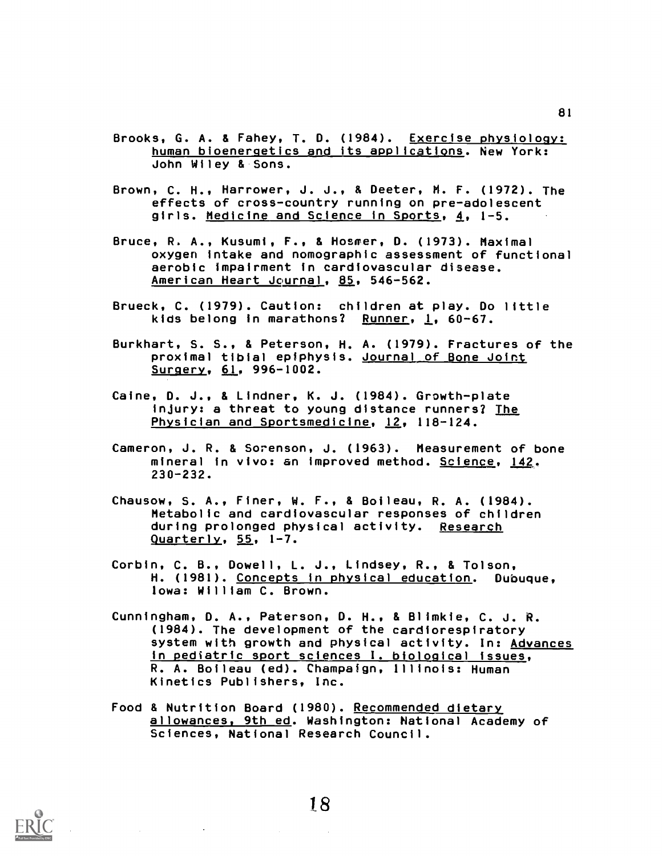- Brooks, G. A. & Fahey, T. D. (1984). Exercise physiology: human bioenergetics and its applications. New York: John Wiley & Sons.
- Brown, C. H., Harrower, J. J., & Deeter, M. F. (1972). The effects of cross-country running on pre-adolescent girls. Medicine and Science in Sports, 4, 1-5.
- Bruce, R. A., Kusumi, F., & Hosmer, D. (1973). Maximal oxygen intake and nomographic assessment of functional aerobic Impairment in cardiovascular disease. American Heart Journal, 85, 546-562.
- Brueck, C. (1979). Caution: children at play. Do little kids belong in marathons? Runner, 1, 60-67.
- Burkhart, S. S., & Peterson, H. A. (1979). Fractures of the proximal tibial epiphysis. Journal\_ of Bone Joint Surgery, 61, 996-1002.
- Caine, D. J., & Lindner, K. J. (1984). Growth-plate injury: a threat to young distance runners? The Physician and Sportsmedicine, 12, 118-124.
- Cameron, J. R. & Sorenson, J. (1963). Measurement of bone mineral in vivo: an improved method. Science, 142. 230-232.
- Chausow, S. A., Finer, W. F., & Boileau, R. A. (1984). Metabolic and cardiovascular responses of children during prolonged physical activity. Research Quarterly, 55, 1-7.
- Corbin, C. B., Dowell, L. J., Lindsey, R., & Tolson, H. (1981). Concepts in physical education. Dubuque, Iowa: William C. Brown.
- Cunningham, D. A., Paterson, D. H., & Blimkie, C. J. R. (1984). The development of the cardiorespiratory system with growth and physical activity. In: Advances in pediatric sport sciences I. biological issues, R. A. Boileau (ed). Champaign, Illinois: Human Kinetics Publishers, Inc.
- Food & Nutrition Board (1980). Recommended dietary allowances, 9th ed. Washington: National Academy of Sciences, National Research Council.

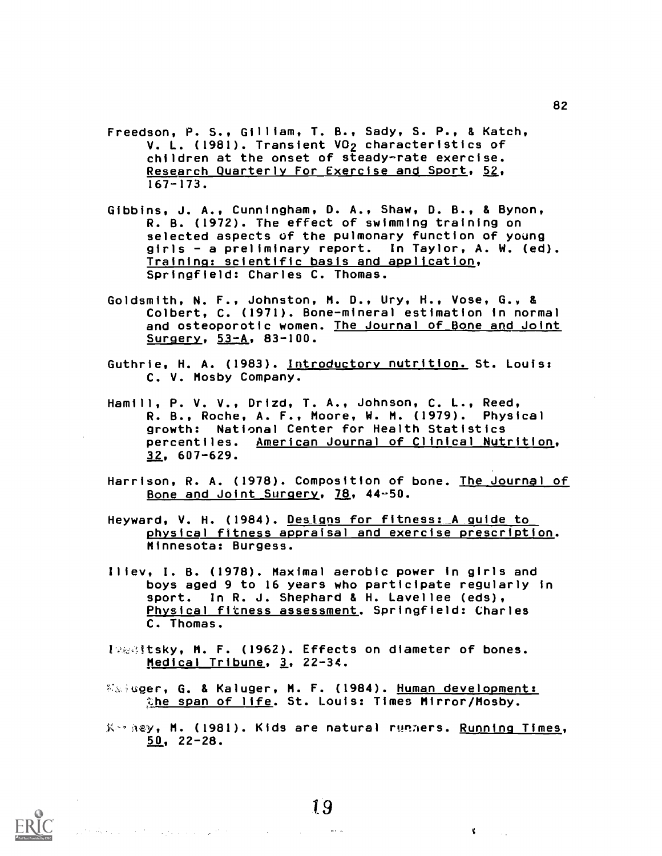- Freedson, P. S., Gilliam, T. B., Sady, S. P., & Katch, V. L. (1981). Transient VO<sub>2</sub> characteristics of children at the onset of steady-rate exercise. Research Quarterly For Exercise and Sport, 52, 167-173.
- Gibbins, J. A., Cunningham, D. A., Shaw, D. B., & Bynon, R. B. (1972). The effect of swimming training on selected aspects of the pulmonary function of young girls - a preliminary report. In Taylor, A. W. (ed). Training: scientific basis and application, Springfield: Charles C. Thomas.
- Goldsmith, N. F., Johnston, M. D., Ury, H., Vose, G. & Colbert, C. (1971). Bone-mineral estimation in normal and osteoporotic women. The Journal of Bone and Joint Surgery, 53-A, 83-100.
- Guthrie, H. A. (1983). Introductory nutrition. St. Louis: C. V. Mosby Company.
- Hamill, P. V. V., Drizd, T. A., Johnson, C. L., Reed, R. B., Roche, A. F., Moore, W. M. (1979). Physical growth: National Center for Health Statistics percentiles. American Journal of Clinical Nutrition, 32, 607-629.
- Harrison, R. A. (1978). Composition of bone. The Journal of Bone and Joint Surgery, 78, 44-50.
- Heyward, V. H. (1984). Designs for fitness: A guide to physical fttness appraisal and exercise prescription. Minnesota: Burgess.
- Illev, I. B. (1978). Maximal aerobic power in girls and boys aged 9 to 16 years who participate regularly in sport. In R. J. Shephard & H. Lavellee (eds), Physical fitness assessment. Springfield: Charles C. Thomas.
- 19681tsky, M. F. (1962). Effects on diameter of bones. Medical Tribune, 3, 22-34.
- **Kaiuger, G. & Kaluger, M. F. (1984). Human development:** the span of life. St. Louis: Times Mirror/Mosby.
- Keeney, M. (1981). Kids are natural runners. Running Times, 50, 22-28.



19

82

الدامعات

 $\mathbf{C}$  and  $\mathbf{C}$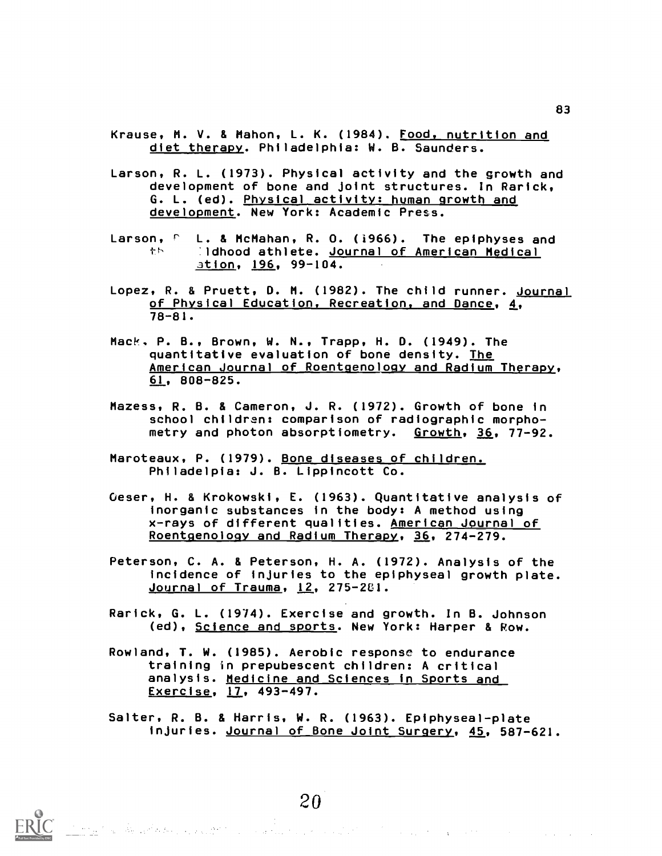Krause, M. V. & Mahon, L. K. (1984). Food, nutrition and diet therapy. Philadelphia: W. B. Saunders.

- Larson, R. L. (1973). Physical activity and the growth and development of bone and joint structures. In Rarick, G. L. (ed). Physical activity: human growth and development. New York: Academic Press.
- Larson, <sup>p</sup> L. & McMahan, R. O. (1966). The epiphyses and Idhood athlete. Journal of American Medical 幸長! ation, 196, 99-104.
- Lopez, R. & Pruett, D. M. (1982). The child runner. Journal of Physical Education, Recreation, and Dance, 4, 78-81.
- Mack, P. B., Brown, W. N., Trapp, H. D. (1949). The quantitative evaluation of bone density. The American Journal of Roentgenology and Radium Therapy, 61, 808-825.
- Mazess, R. B. & Cameron, J. R. (1972). Growth of bone in school children: comparison of radiographic morphometry and photon absorptiometry. Growth, 36, 77-92.
- Maroteaux, P. (1979). Bone diseases of children. Philadelpia: J. B. Lippincott Co.
- Oeser, H. & Krokowski, E. (1963). Quantitative analysis of inorganic substances in the body: A method using x-rays of different qualities. American Journal of Roentgenology and Radium Therapy, 36, 274-279.
- Peterson, C. A. & Peterson, H. A. (1972). Analysis of the incidence of injuries to the epiphyseal growth plate. Journal of Trauma, 12, 275-2E1.
- Rarick, G. L. (1974). Exercise and growth. In B. Johnson (ed), Science and sports. New York: Harper & Row.
- Rowland, T. W. (1985). Aerobic response to endurance training in prepubescent children: A critical analysis. Medicine and Sciences in Sports and Exercise, 17, 493-497.
- Salter, R. B. & Harris, W. R. (1963). Epiphyseal-plate injuries. Journal of Bone Joint Surgery, 45, 587-621.



 $20\,$  and the second contribution of the second contribution  $\sim$